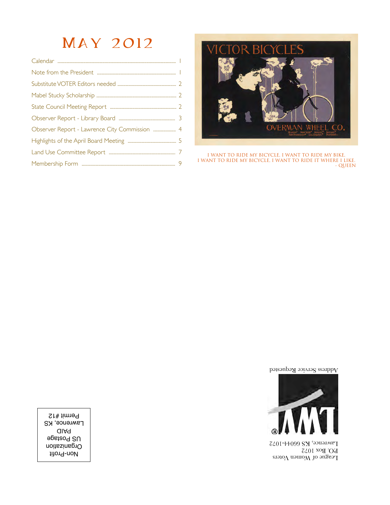## May 2012

| Observer Report - Lawrence City Commission  4 |  |
|-----------------------------------------------|--|
|                                               |  |
|                                               |  |
|                                               |  |



I WANT TO RIDE MY BICYCLE, I WANT TO RIDE MY BIKE, I WANT TO RIDE MY BICYCLE, I WANT TO RIDE IT WHERE I LIKE. - QUEEN

Address Service Requested



 $\Gamma$ eague of Women Voters P.O. Box 1072 Lawrence, KS 66044-1072

Non-Profit Organization US Postage PAID **Lawrence, KS** Permit #12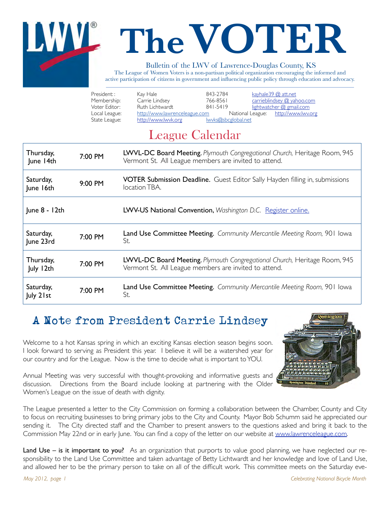# **The VOTER**

#### Bulletin of the LWV of Lawrence-Douglas County, KS

The League of Women Voters is a non-partisan political organization encouraging the informed and active participation of citizens in government and influencing public policy through education and advocacy.

President:: Kay Hale " 843-2784" kayhale39 @ att.net Membership: Carrie Lindsey" " 766-8561 carrieblindsey @ yahoo.com Voter Editor: Ruth Lichtwardt 841-5419 lightwatcher @ gmail.com<br>"Local League: http://www.lawrenceleague.com National League: http://www.lwv. http://www.lawrenceleague.com National League: http://www.lwv.org<br>http://www.lwvk.org lwvks@sbcglobal.net State League: http://www.lwvk.org

## League Calendar

| Thursday,<br>June 14th | 7:00 PM | <b>LWVL-DC Board Meeting.</b> Plymouth Congregational Church, Heritage Room, 945<br>Vermont St. All League members are invited to attend. |
|------------------------|---------|-------------------------------------------------------------------------------------------------------------------------------------------|
| Saturday,<br>June 16th | 9:00 PM | <b>VOTER Submission Deadline.</b> Guest Editor Sally Hayden filling in, submissions<br>location TBA.                                      |
| June 8 - 12th          |         | LWV-US National Convention, Washington D.C. Register online.                                                                              |
|                        |         |                                                                                                                                           |
| Saturday,<br>June 23rd | 7:00 PM | Land Use Committee Meeting. Community Mercantile Meeting Room, 901 Iowa<br>St.                                                            |
| Thursday,<br>July 12th | 7:00 PM | LWVL-DC Board Meeting. Plymouth Congregational Church, Heritage Room, 945<br>Vermont St. All League members are invited to attend.        |

## A Note from President Carrie Lindsey

Welcome to a hot Kansas spring in which an exciting Kansas election season begins soon. I look forward to serving as President this year. I believe it will be a watershed year for our country and for the League. Now is the time to decide what is important to YOU.



Annual Meeting was very successful with thought-provoking and informative guests and discussion. Directions from the Board include looking at partnering with the Older Women's League on the issue of death with dignity.

The League presented a letter to the City Commission on forming a collaboration between the Chamber, County and City to focus on recruiting businesses to bring primary jobs to the City and County. Mayor Bob Schumm said he appreciated our sending it. The City directed staff and the Chamber to present answers to the questions asked and bring it back to the Commission May 22nd or in early June. You can find a copy of the letter on our website at www.lawrenceleague.com.

Land Use – is it important to you? As an organization that purports to value good planning, we have neglected our responsibility to the Land Use Committee and taken advantage of Betty Lichtwardt and her knowledge and love of Land Use, and allowed her to be the primary person to take on all of the difficult work. This committee meets on the Saturday eve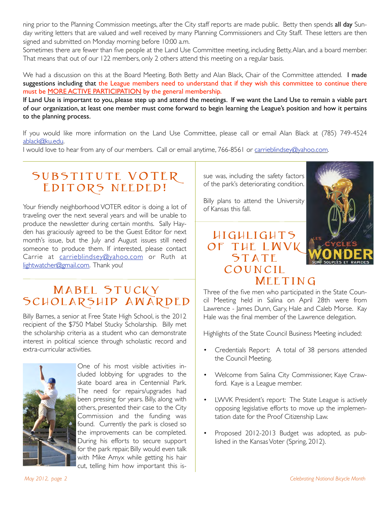ning prior to the Planning Commission meetings, after the City staff reports are made public. Betty then spends all day Sunday writing letters that are valued and well received by many Planning Commissioners and City Staff. These letters are then signed and submitted on Monday morning before 10:00 a.m.

Sometimes there are fewer than five people at the Land Use Committee meeting, including Betty, Alan, and a board member. That means that out of our 122 members, only 2 others attend this meeting on a regular basis.

We had a discussion on this at the Board Meeting. Both Betty and Alan Black, Chair of the Committee attended. I made suggestions including that the League members need to understand that if they wish this committee to continue there must be **MORE ACTIVE PARTICIPATION** by the general membership.

If Land Use is important to you, please step up and attend the meetings. If we want the Land Use to remain a viable part of our organization, at least one member must come forward to begin learning the League's position and how it pertains to the planning process.

If you would like more information on the Land Use Committee, please call or email Alan Black at (785) 749-4524 ablack@ku.edu.

I would love to hear from any of our members. Call or email anytime, 766-8561 or carrieblindsey@yahoo.com.

## SUBSTITUTE VOTER Editors needed!

Your friendly neighborhood VOTER editor is doing a lot of traveling over the next several years and will be unable to produce the newsletter during certain months. Sally Hayden has graciously agreed to be the Guest Editor for next month's issue, but the July and August issues still need someone to produce them. If interested, please contact Carrie at carrieblindsey@yahoo.com or Ruth at lightwatcher@gmail.com. Thank you!

## MABEL STUCKY Scholarship Awarded

Billy Barnes, a senior at Free State High School, is the 2012 recipient of the \$750 Mabel Stucky Scholarship. Billy met the scholarship criteria as a student who can demonstrate interest in political science through scholastic record and extra-curricular activities.



One of his most visible activities included lobbying for upgrades to the skate board area in Centennial Park. The need for repairs/upgrades had been pressing for years. Billy, along with others, presented their case to the City Commission and the funding was found. Currently the park is closed so the improvements can be completed. During his efforts to secure support for the park repair, Billy would even talk with Mike Amyx while getting his hair cut, telling him how important this issue was, including the safety factors of the park's deteriorating condition.

Billy plans to attend the University of Kansas this fall.

## Highlights of the LWVK STATE Council

MEETING Three of the five men who participated in the State Council Meeting held in Salina on April 28th were from Lawrence - James Dunn, Gary, Hale and Caleb Morse. Kay Hale was the final member of the Lawrence delegation.

Highlights of the State Council Business Meeting included:

- Credentials Report: A total of 38 persons attended the Council Meeting.
- Welcome from Salina City Commissioner, Kaye Crawford. Kaye is a League member.
- LWVK President's report: The State League is actively opposing legislative efforts to move up the implementation date for the Proof Citizenship Law.
- Proposed 2012-2013 Budget was adopted, as published in the Kansas Voter (Spring, 2012).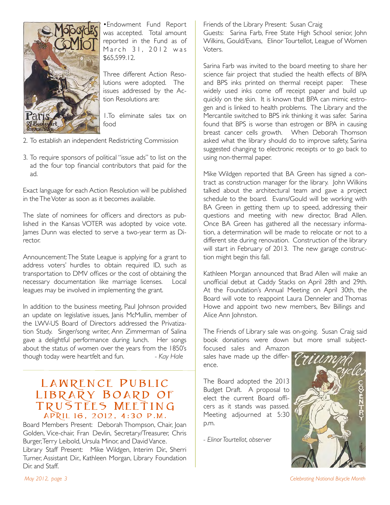

•Endowment Fund Report was accepted. Total amount reported in the Fund as of March 31, 2012 was \$65,599.12.

Three different Action Resolutions were adopted. The issues addressed by the Action Resolutions are:

1.To eliminate sales tax on food

- 2. To establish an independent Redistricting Commission
- 3. To require sponsors of political "issue ads" to list on the ad the four top financial contributors that paid for the ad.

Exact language for each Action Resolution will be published in the The Voter as soon as it becomes available.

The slate of nominees for officers and directors as published in the Kansas VOTER was adopted by voice vote. James Dunn was elected to serve a two-year term as Director.

Announcement: The State League is applying for a grant to address voters' hurdles to obtain required ID, such as transportation to DMV offices or the cost of obtaining the necessary documentation like marriage licenses. Local leagues may be involved in implementing the grant.

In addition to the business meeting, Paul Johnson provided an update on legislative issues, Janis McMullin, member of the LWV-US Board of Directors addressed the Privatization Study. Singer/song writer, Ann Zimmerman of Salina gave a delightful performance during lunch. Her songs about the status of women over the years from the 1850's though today were heartfelt and fun. *- Kay Hale*

### Lawrence Public Library Board of TRUSTEES MEETING April 16, 2012, 4:30 p.m.

Board Members Present: Deborah Thompson, Chair, Joan Golden, Vice-chair, Fran Devlin, Secretary/Treasurer, Chris Burger, Terry Leibold, Ursula Minor, and David Vance. Library Staff Present: Mike Wildgen, Interim Dir., Sherri Turner, Assistant Dir., Kathleen Morgan, Library Foundation Dir. and Staff.

Friends of the Library Present: Susan Craig Guests: Sarina Farb, Free State High School senior, John Wilkins, Gould/Evans, Elinor Tourtellot, League of Women Voters.

Sarina Farb was invited to the board meeting to share her science fair project that studied the health effects of BPA and BPS inks printed on thermal receipt paper. These widely used inks come off receipt paper and build up quickly on the skin. It is known that BPA can mimic estrogen and is linked to health problems. The Library and the Mercantile switched to BPS ink thinking it was safer. Sarina found that BPS is worse than estrogen or BPA in causing breast cancer cells growth. When Deborah Thomson asked what the library should do to improve safety, Sarina suggested changing to electronic receipts or to go back to using non-thermal paper.

Mike Wildgen reported that BA Green has signed a contract as construction manager for the library. John Wilkins talked about the architectural team and gave a project schedule to the board. Evans/Gould will be working with BA Green in getting them up to speed, addressing their questions and meeting with new director, Brad Allen. Once BA Green has gathered all the necessary information, a determination will be made to relocate or not to a different site during renovation. Construction of the library will start in February of 2013. The new garage construction might begin this fall.

Kathleen Morgan announced that Brad Allen will make an unofficial debut at Caddy Stacks on April 28th and 29th. At the Foundation's Annual Meeting on April 30th, the Board will vote to reappoint Laura Denneler and Thomas Howe and appoint two new members, Bev Billings and Alice Ann Johnston.

The Friends of Library sale was on-going. Susan Craig said book donations were down but more small subject-

focused sales and Amazon sales have made up the difference.

The Board adopted the 2013 Budget Draft. A proposal to elect the current Board officers as it stands was passed. Meeting adjourned at 5:30 p.m.

*- Elinor Tourtellot, observer*



*May 2012, page 3 Celebrating National Bicycle Month*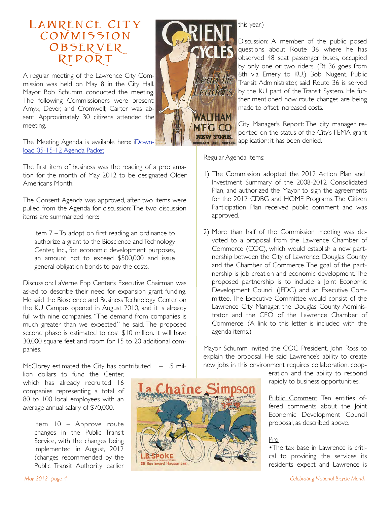## LAWRENCE CITY Commission OBSERVER Report

A regular meeting of the Lawrence City Commission was held on May 8 in the City Hall. Mayor Bob Schumm conducted the meeting. The following Commissioners were present: Amyx, Dever, and Cromwell; Carter was absent. Approximately 30 citizens attended the meeting.

The Meeting Agenda is available here: iDownload 05-15-12 Agenda Packet

The first item of business was the reading of a proclamation for the month of May 2012 to be designated Older Americans Month.

The Consent Agenda was approved, after two items were pulled from the Agenda for discussion: The two discussion items are summarized here:

Item 7 – To adopt on first reading an ordinance to authorize a grant to the Bioscience and Technology Center, Inc., for economic development purposes, an amount not to exceed \$500,000 and issue general obligation bonds to pay the costs.

Discussion: LaVerne Epp Center's Executive Chairman was asked to describe their need for expansion grant funding. He said the Bioscience and Business Technology Center on the KU Campus opened in August 2010, and it is already full with nine companies. "The demand from companies is much greater than we expected," he said. The proposed second phase is estimated to cost \$10 million. It will have 30,000 square feet and room for 15 to 20 additional companies.

McClorey estimated the City has contributed  $1 - 1.5$  million dollars to fund the Center,

which has already recruited 16 companies representing a total of 80 to 100 local employees with an average annual salary of \$70,000.

> Item 10 – Approve route changes in the Public Transit Service, with the changes being implemented in August, 2012 (changes recommended by the Public Transit Authority earlier





this year.)

Discussion: A member of the public posed questions about Route 36 where he has observed 48 seat passenger buses, occupied by only one or two riders. (Rt 36 goes from 6th via Emery to KU.) Bob Nugent, Public Transit Administrator, said Route 36 is served by the KU part of the Transit System. He further mentioned how route changes are being made to offset increased costs.

City Manager's Report: The city manager reported on the status of the City's FEMA grant application; it has been denied.

Regular Agenda Items:

- 1) The Commission adopted the 2012 Action Plan and Investment Summary of the 2008-2012 Consolidated Plan, and authorized the Mayor to sign the agreements for the 2012 CDBG and HOME Programs. The Citizen Participation Plan received public comment and was approved.
- 2) More than half of the Commission meeting was devoted to a proposal from the Lawrence Chamber of Commerce (COC), which would establish a new partnership between the City of Lawrence, Douglas County and the Chamber of Commerce. The goal of the partnership is job creation and economic development. The proposed partnership is to include a Joint Economic Development Council (JEDC) and an Executive Committee. The Executive Committee would consist of the Lawrence City Manager, the Douglas County Administrator and the CEO of the Lawrence Chamber of Commerce. (A link to this letter is included with the agenda items.)

Mayor Schumm invited the COC President, John Ross to explain the proposal. He said Lawrence's ability to create new jobs in this environment requires collaboration, coop-

> eration and the ability to respond rapidly to business opportunities.

> Public Comment: Ten entities offered comments about the Joint Economic Development Council proposal, as described above.

#### Pro

•The tax base in Lawrence is critical to providing the services its residents expect and Lawrence is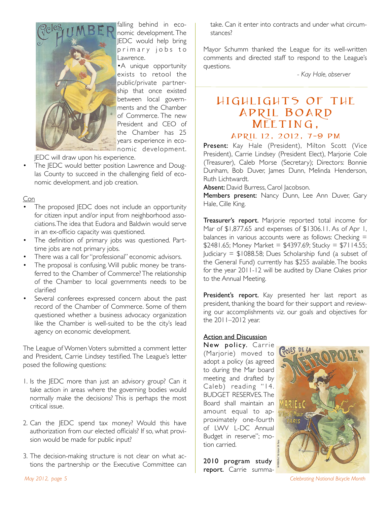

falling behind in economic development. The JEDC would help bring primary jobs to Lawrence.

•A unique opportunity exists to retool the public/private partnership that once existed between local governments and the Chamber of Commerce. The new President and CEO of the Chamber has 25 years experience in economic development.

JEDC will draw upon his experience.

• The JEDC would better position Lawrence and Douglas County to succeed in the challenging field of economic development. and job creation.

#### **Con**

- The proposed JEDC does not include an opportunity for citizen input and/or input from neighborhood associations. The idea that Eudora and Baldwin would serve in an ex-officio capacity was questioned.
- The definition of primary jobs was questioned. Parttime jobs are not primary jobs.
- There was a call for "professional" economic advisors.
- The proposal is confusing. Will public money be transferred to the Chamber of Commerce? The relationship of the Chamber to local governments needs to be clarified
- Several conferees expressed concern about the past record of the Chamber of Commerce. Some of them questioned whether a business advocacy organization like the Chamber is well-suited to be the city's lead agency on economic development.

The League of Women Voters submitted a comment letter and President, Carrie Lindsey testified. The League's letter posed the following questions:

- 1. Is the JEDC more than just an advisory group? Can it take action in areas where the governing bodies would normally make the decisions? This is perhaps the most critical issue.
- 2. Can the JEDC spend tax money? Would this have authorization from our elected officials? If so, what provision would be made for public input?
- 3. The decision-making structure is not clear on what actions the partnership or the Executive Committee can

take. Can it enter into contracts and under what circumstances?

Mayor Schumm thanked the League for its well-written comments and directed staff to respond to the League's questions.

- Kay Hale, observer

## Highlights of the April Board MEETING,

#### April 12, 2012, 7–9 pm

Present: Kay Hale (President), Milton Scott (Vice President), Carrie Lindsey (President Elect), Marjorie Cole (Treasurer), Caleb Morse (Secretary); Directors: Bonnie Dunham, Bob Duver, James Dunn, Melinda Henderson, Ruth Lichtwardt.

Absent: David Burress, Carol Jacobson.

Members present: Nancy Dunn, Lee Ann Duver, Gary Hale, Cille King.

Treasurer's report. Marjorie reported total income for Mar of  $$1,877.65$  and expenses of  $$1306.11$ . As of Apr 1, balances in various accounts were as follows: Checking  $=$ \$2481.65; Money Market = \$4397.69; Stucky = \$7114.55; Judiciary =  $$1088.58$ ; Dues Scholarship fund (a subset of the General Fund) currently has \$255 available. The books for the year 2011-12 will be audited by Diane Oakes prior to the Annual Meeting.

President's report. Kay presented her last report as president, thanking the board for their support and reviewing our accomplishments viz. our goals and objectives for the 2011–2012 year.

#### Action and Discussion

New policy. Carrie (Marjorie) moved to adopt a policy (as agreed to during the Mar board meeting and drafted by Caleb) reading "14. BUDGET RESERVES. The Board shall maintain an amount equal to approximately one-fourth of LWV L-DC Annual Budget in reserve"; motion carried.

2010 program study report. Carrie summa-



*May 2012, page 5 Celebrating National Bicycle Month*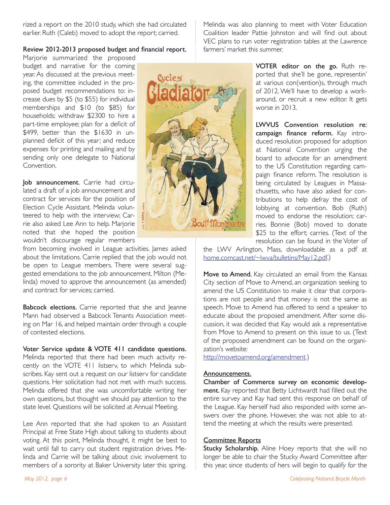rized a report on the 2010 study, which she had circulated earlier. Ruth (Caleb) moved to adopt the report; carried.

#### Review 2012-2013 proposed budget and financial report.

Marjorie summarized the proposed budget and narrative for the coming year. As discussed at the previous meeting, the committee included in the proposed budget recommendations to: increase dues by \$5 (to \$55) for individual memberships and \$10 (to \$85) for households; withdraw \$2300 to hire a part-time employee; plan for a deficit of \$499, better than the \$1630 in unplanned deficit of this year; and reduce expenses for printing and mailing and by sending only one delegate to National Convention.

Job announcement. Carrie had circulated a draft of a job announcement and contract for services for the position of Election Cycle Assistant. Melinda volunteered to help with the interview; Carrie also asked Lee Ann to help. Marjorie noted that she hoped the position wouldn't discourage regular members

from becoming involved in League activities. James asked about the limitations. Carrie replied that the job would not be open to League members. There were several suggested emendations to the job announcement. Milton (Melinda) moved to approve the announcement (as amended) and contract for services; carried.

Babcock elections. Carrie reported that she and leanne Mann had observed a Babcock Tenants Association meeting on Mar 16, and helped maintain order through a couple of contested elections.

Voter Service update & VOTE 411 candidate questions. Melinda reported that there had been much activity recently on the VOTE 411 listserv, to which Melinda subscribes. Kay sent out a request on our listserv for candidate questions. Her solicitation had not met with much success. Melinda offered that she was uncomfortable writing her own questions, but thought we should pay attention to the state level. Questions will be solicited at Annual Meeting.

Lee Ann reported that she had spoken to an Assistant Principal at Free State High about talking to students about voting. At this point, Melinda thought, it might be best to wait until fall to carry out student registration drives. Melinda and Carrie will be talking about civic involvement to members of a sorority at Baker University later this spring.



Melinda was also planning to meet with Voter Education Coalition leader Pattie Johnston and will find out about VEC plans to run voter registration tables at the Lawrence farmers' market this summer.

> VOTER editor on the go. Ruth reported that she'll be gone, representin' at various con(vention)s, through much of 2012. We'll have to develop a workaround, or recruit a new editor. It gets worse in 2013.

> LWVUS Convention resolution re: campaign finance reform. Kay introduced resolution proposed for adoption at National Convention urging the board to advocate for an amendment to the US Constitution regarding campaign finance reform. The resolution is being circulated by Leagues in Massachusetts, who have also asked for contributions to help defray the cost of lobbying at convention. Bob (Ruth) moved to endorse the resolution; carries. Bonnie (Bob) moved to donate \$25 to the effort; carries. (Text of the resolution can be found in the Voter of

the LWV Arlington, Mass, downloadable as a pdf at home.comcast.net/~lwva/bulletins/May12.pdf.)

Move to Amend. Kay circulated an email from the Kansas City section of Move to Amend, an organization seeking to amend the US Constitution to make it clear that corporations are not people and that money is not the same as speech. Move to Amend has offered to send a speaker to educate about the proposed amendment. After some discussion, it was decided that Kay would ask a representative from Move to Amend to present on this issue to us. (Text of the proposed amendment can be found on the organization's website:

http://movetoamend.org/amendment.)

#### Announcements.

Chamber of Commerce survey on economic development. Kay reported that Betty Lichtwardt had filled out the entire survey and Kay had sent this response on behalf of the League. Kay herself had also responded with some answers over the phone. However, she was not able to attend the meeting at which the results were presented.

#### Committee Reports

Stucky Scholarship. Aline Hoey reports that she will no longer be able to chair the Stucky Award Committee after this year, since students of hers will begin to qualify for the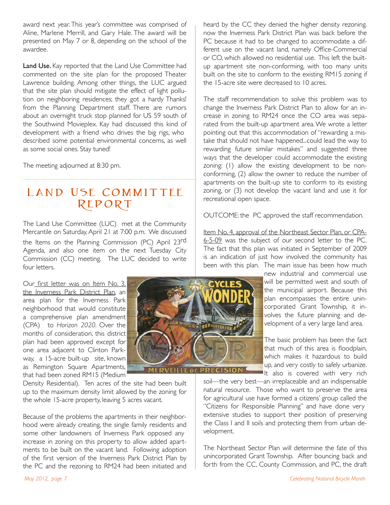award next year. This year's committee was comprised of Aline, Marlene Merrill, and Gary Hale. The award will be presented on May 7 or 8, depending on the school of the awardee.

Land Use. Kay reported that the Land Use Committee had commented on the site plan for the proposed Theater Lawrence building. Among other things, the LUC argued that the site plan should mitigate the effect of light pollution on neighboring residences; they got a hardy Thanks! from the Planning Department staff. There are rumors about an overnight truck stop planned for US 59 south of the Southwind Movieplex. Kay had discussed this kind of development with a friend who drives the big rigs, who described some potential environmental concerns, as well as some social ones. Stay tuned!

The meeting adjourned at 8:30 pm.

## LAND USE COMMITTEE **REPORT**

The Land Use Committee (LUC) met at the Community Mercantile on Saturday, April 21 at 7:00 p.m. We discussed the Items on the Planning Commission (PC) April 23rd Agenda, and also one item on the next Tuesday City Commission (CC) meeting. The LUC decided to write four letters.

Our first letter was on Item No. 3, the Inverness Park District Plan, an area plan for the Inverness Park neighborhood that would constitute a comprehensive plan amendment (CPA) to *Horizon 2020*. Over the months of consideration, this district plan had been approved except for one area adjacent to Clinton Parkway, a 15-acre built-up site, known as Remington Square Apartments, that had been zoned RM15 (Medium

Density Residential). Ten acres of the site had been built up to the maximum density limit allowed by the zoning for the whole 15-acre property, leaving 5 acres vacant.

Because of the problems the apartments in their neighborhood were already creating, the single family residents and some other landowners of Inverness Park opposed any increase in zoning on this property to allow added apartments to be built on the vacant land. Following adoption of the first version of the Inverness Park District Plan by the PC and the rezoning to RM24 had been initiated and

heard by the CC they denied the higher density rezoning. now the Inverness Park District Plan was back before the PC because it had to be changed to accommodate a different use on the vacant land, namely Office-Commercial or CO, which allowed no residential use. This left the builtup apartment site non-conforming, with too many units built on the site to conform to the existing RM15 zoning if the 15-acre site were decreased to 10 acres.

The staff recommendation to solve this problem was to change the Inverness Park District Plan to allow for an increase in zoning to RM24 once the CO area was separated from the built-up apartment area. We wrote a letter pointing out that this accommodation of "rewarding a mistake that should not have happened...could lead the way to rewarding future similar mistakes" and suggested three ways that the developer could accommodate the existing zoning: (1) allow the existing development to be nonconforming, (2) allow the owner to reduce the number of apartments on the built-up site to conform to its existing zoning, or (3) not develop the vacant land and use it for recreational open space.

OUTCOME: the PC approved the staff recommendation.

Item No. 4, approval of the Northeast Sector Plan, or CPA-6-5-09 was the subject of our second letter to the PC. The fact that this plan was initiated in September of 2009 is an indication of just how involved the community has been with this plan. The main issue has been how much

new industrial and commercial use will be permitted west and south of the municipal airport. Because this plan encompasses the entire unincorporated Grant Township, it involves the future planning and development of a very large land area.

The basic problem has been the fact that much of this area is floodplain, which makes it hazardous to build up, and very costly to safely urbanize. It also is covered with very rich

soil—the very best—an irreplaceable and an indispensable natural resource. Those who want to preserve the area for agricultural use have formed a citizens' group called the "Citizens for Responsible Planning" and have done very extensive studies to support their position of preserving the Class I and II soils and protecting them from urban development.

The Northeast Sector Plan will determine the fate of this unincorporated Grant Township. After bouncing back and forth from the CC, County Commission, and PC, the draft

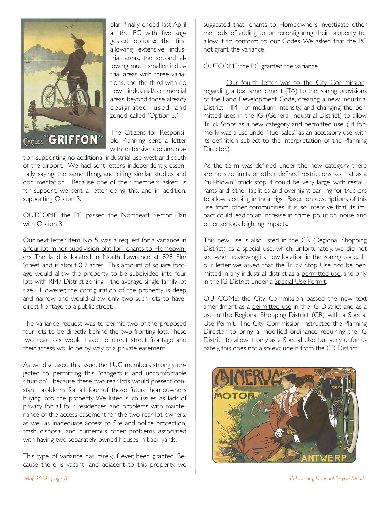

plan finally ended last April at the PC with five suggested options**:** the first allowing extensive industrial areas, the second allowing much smaller industrial areas with three variations, and the third with no new industrial/commercial areas beyond those already designated, used and zoned, called "Option 3."

The Citizens for Responsible Planning sent a letter with extensive documenta-

tion supporting no additional industrial use west and south of the airport. We had sent letters independently, essentially saying the same thing, and citing similar studies and documentation. Because one of their members asked us for support, we sent a letter doing this, and in addition, supporting Option 3.

OUTCOME: the PC passed the Northeast Sector Plan with Option 3.

Our next letter, Item No. 5, was a request for a variance in a four-lot minor subdivision plat for Tenants to Homeowners. The land is located in North Lawrence at 828 Elm Street, and is about 0.9 acres. This amount of square footage would allow the property to be subdivided into four lots with RM7 District zoning—the average single family lot size. However, the configuration of the property is deep and narrow and would allow only two such lots to have direct frontage to a public street.

The variance request was to permit two of the proposed four lots to be directly behind the two fronting lots. These two rear lots would have no direct street frontage and their access would be by way of a private easement.

As we discussed this issue, the LUC members strongly objected to permitting this "dangerous and uncomfortable situation" because these two rear lots would present constant problems for all four of those future homeowners buying into the property. We listed such issues as lack of privacy for all four residences, and problems with maintenance of the access easement for the two rear lot owners, as well as inadequate access to fire and police protection, trash disposal, and numerous other problems associated with having two separately-owned houses in back yards.

This type of variance has rarely, if ever, been granted. Because there is vacant land adjacent to this property, we suggested that Tenants to Homeowners investigate other methods of adding to or reconfiguring their property to allow it to conform to our Codes. We asked that the PC not grant the variance.

OUTCOME: the PC granted the variance.

Our fourth letter was to the City Commission regarding a text amendment (TA) to the zoning provisions of the Land Development Code, creating a new Industrial District—IM—of medium intensity, and changing the permitted uses in the IG (General Industrial District) to allow Truck Stops as a new category and permitted use. ( It formerly was a use under "fuel sales" as an accessory use, with its definition subject to the interpretation of the Planning Director.)

As the term was defined under the new category there are no size limits or other defined restrictions, so that as a "full-blown" truck stop it could be very large, with restaurants and other facilities and overnight parking for truckers to allow sleeping in their rigs. Based on descriptions of this use from other communities, it is so intensive that its impact could lead to an increase in crime, pollution, noise, and other serious blighting impacts.

This new use is also listed in the CR (Regional Shopping District) as a special use, which, unfortunately, we did not see when reviewing its new location in the zoning code. In our letter we asked that the Truck Stop Use not be permitted in any industrial district as a permitted use, and only in the IG District under a Special Use Permit.

OUTCOME: the City Commission passed the new text amendment as a permitted use in the IG District and as a use in the Regional Shopping District (CR) with a Special Use Permit. The City Commission instructed the Planning Director to bring a modified ordinance requiring the IG District to allow it only as a Special Use, but very unfortunately, this does not also exclude it from the CR District.



*May 2012, page 8 Celebrating National Bicycle Month*